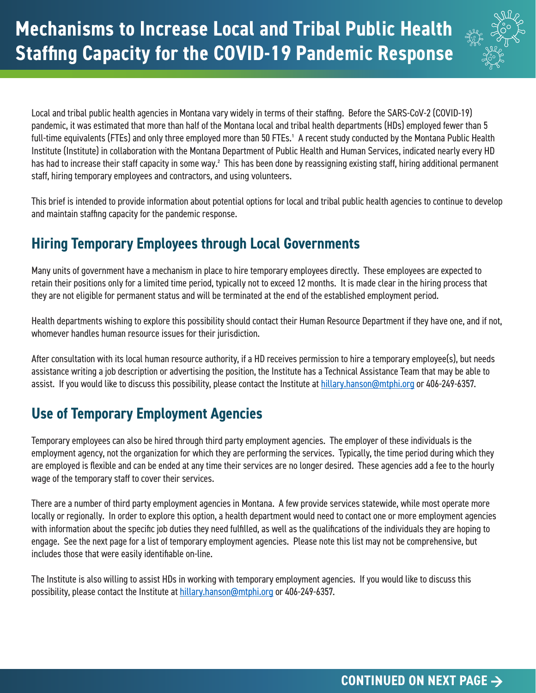

Local and tribal public health agencies in Montana vary widely in terms of their staffing. Before the SARS-CoV-2 (COVID-19) pandemic, it was estimated that more than half of the Montana local and tribal health departments (HDs) employed fewer than 5 full-time equivalents (FTEs) and only three employed more than 50 FTEs.<sup>1</sup> A recent study conducted by the Montana Public Health Institute (Institute) in collaboration with the Montana Department of Public Health and Human Services, indicated nearly every HD has had to increase their staff capacity in some way.<sup>2</sup> This has been done by reassigning existing staff, hiring additional permanent staff, hiring temporary employees and contractors, and using volunteers.

This brief is intended to provide information about potential options for local and tribal public health agencies to continue to develop and maintain staffing capacity for the pandemic response.

# **Hiring Temporary Employees through Local Governments**

Many units of government have a mechanism in place to hire temporary employees directly. These employees are expected to retain their positions only for a limited time period, typically not to exceed 12 months. It is made clear in the hiring process that they are not eligible for permanent status and will be terminated at the end of the established employment period.

Health departments wishing to explore this possibility should contact their Human Resource Department if they have one, and if not, whomever handles human resource issues for their jurisdiction.

After consultation with its local human resource authority, if a HD receives permission to hire a temporary employee(s), but needs assistance writing a job description or advertising the position, the Institute has a Technical Assistance Team that may be able to assist. If you would like to discuss this possibility, please contact the Institute at hillary.hanson@mtphi.org or 406-249-6357.

# **Use of Temporary Employment Agencies**

Temporary employees can also be hired through third party employment agencies. The employer of these individuals is the employment agency, not the organization for which they are performing the services. Typically, the time period during which they are employed is flexible and can be ended at any time their services are no longer desired. These agencies add a fee to the hourly wage of the temporary staff to cover their services.

There are a number of third party employment agencies in Montana. A few provide services statewide, while most operate more locally or regionally. In order to explore this option, a health department would need to contact one or more employment agencies with information about the specific job duties they need fulfilled, as well as the qualifications of the individuals they are hoping to engage. See the next page for a list of temporary employment agencies. Please note this list may not be comprehensive, but includes those that were easily identifiable on-line.

The Institute is also willing to assist HDs in working with temporary employment agencies. If you would like to discuss this possibility, please contact the Institute at hillary.hanson@mtphi.org or 406-249-6357.